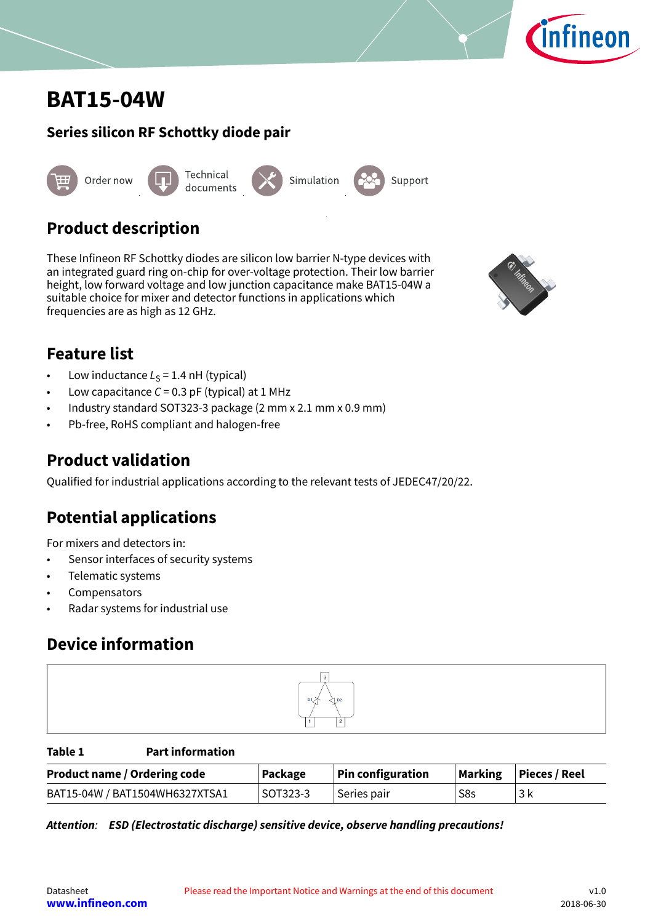<span id="page-0-0"></span>



# **Product description**

These Infineon RF Schottky diodes are silicon low barrier N-type devices with an integrated guard ring on-chip for over-voltage protection. Their low barrier height, low forward voltage and low junction capacitance make BAT15-04W a suitable choice for mixer and detector functions in applications which frequencies are as high as 12 GHz.



**nfineon** 

# **Feature list**

- Low inductance  $L<sub>S</sub> = 1.4$  nH (typical)
- Low capacitance  $C = 0.3$  pF (typical) at 1 MHz
- Industry standard SOT323-3 package (2 mm x 2.1 mm x 0.9 mm)
- Pb-free, RoHS compliant and halogen-free

## **Product validation**

Qualified for industrial applications according to the relevant tests of JEDEC47/20/22.

# **Potential applications**

For mixers and detectors in:

- Sensor interfaces of security systems
- Telematic systems
- **Compensators**
- Radar systems for industrial use

# **Device information**



**Table 1 Part information**

| <b>Product name / Ordering code</b> | Package  | <b>Pin configuration</b> | <b>Marking</b> | <b>Pieces / Reel</b> |
|-------------------------------------|----------|--------------------------|----------------|----------------------|
| BAT15-04W / BAT1504WH6327XTSA1      | SOT323-3 | Series pair              | S8s            | 3 k                  |

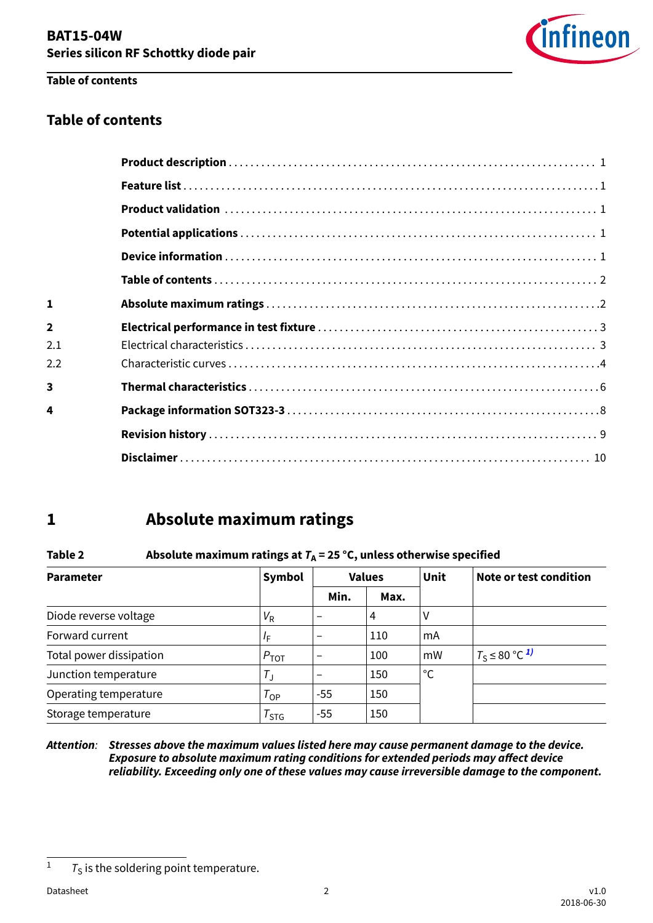

#### **Table of contents**

### **Table of contents**

| 1              |  |
|----------------|--|
| $\overline{2}$ |  |
| 2.1            |  |
| 2.2            |  |
| 3              |  |
| 4              |  |
|                |  |
|                |  |

# **1 Absolute maximum ratings**

#### **Table 2** Absolute maximum ratings at  $T_A = 25 \degree C$ , unless otherwise specified

| <b>Parameter</b>        | Symbol            |                          | <b>Values</b> | Unit | Note or test condition         |
|-------------------------|-------------------|--------------------------|---------------|------|--------------------------------|
|                         |                   | Min.                     | Max.          |      |                                |
| Diode reverse voltage   | $V_{\sf R}$       |                          | 4             | ٧    |                                |
| Forward current         | ΙF                | $\qquad \qquad$          | 110           | mA   |                                |
| Total power dissipation | $P_{\text{TOT}}$  | $\overline{\phantom{m}}$ | 100           | mW   | $T_S \leq 80$ °C <sup>1)</sup> |
| Junction temperature    | $T_{\rm J}$       | $\qquad \qquad$          | 150           | °C   |                                |
| Operating temperature   | $T_{\mathsf{OP}}$ | $-55$                    | 150           |      |                                |
| Storage temperature     | $T_{STG}$         | -55                      | 150           |      |                                |

#### **Attention**: **Stresses above the maximum values listed here may cause permanent damage to the device. Exposure to absolute maximum rating conditions for extended periods may affect device reliability. Exceeding only one of these values may cause irreversible damage to the component.**

<sup>&</sup>lt;sup>1</sup>  $T<sub>S</sub>$  is the soldering point temperature.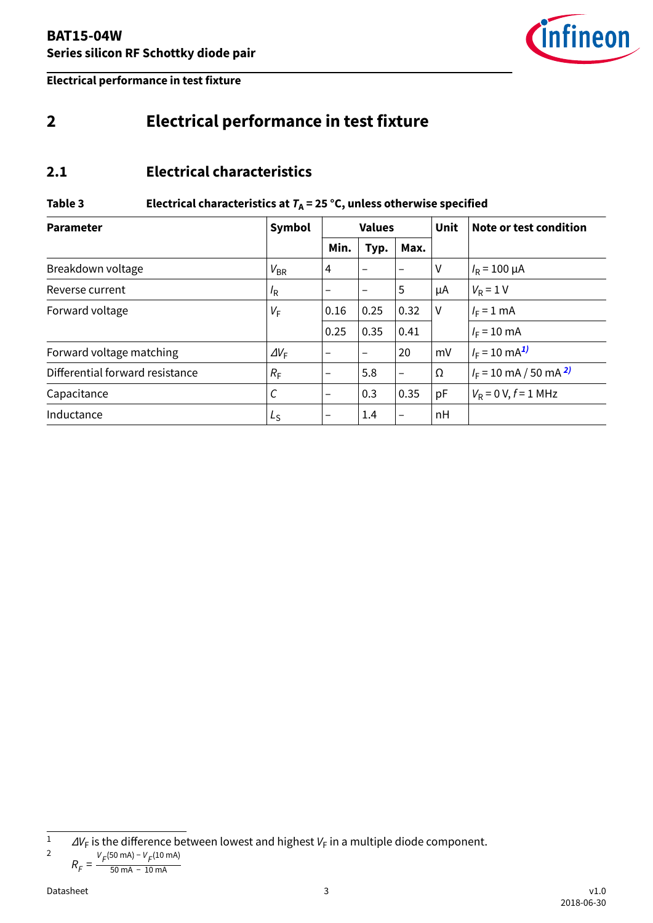

<span id="page-2-0"></span>**Electrical performance in test fixture**

# **2 Electrical performance in test fixture**

#### **2.1 Electrical characteristics**

#### Table 3 **Electrical characteristics at**  $T_A = 25$  **°C, unless otherwise specified**

| <b>Parameter</b>                | <b>Symbol</b>    | <b>Values</b>            |                          |                          | <b>Unit</b> | Note or test condition       |
|---------------------------------|------------------|--------------------------|--------------------------|--------------------------|-------------|------------------------------|
|                                 |                  | Min.                     | Typ.                     | Max.                     |             |                              |
| Breakdown voltage               | $V_{BR}$         | 4                        | $\overline{\phantom{0}}$ | $\overline{\phantom{0}}$ | ٧           | $I_R = 100 \mu A$            |
| Reverse current                 | $I_{\mathsf{R}}$ |                          | $\overline{\phantom{m}}$ | 5                        | μA          | $V_R = 1 V$                  |
| Forward voltage                 | $V_F$            | 0.16                     | 0.25                     | 0.32                     | $\vee$      | $I_F = 1$ mA                 |
|                                 |                  | 0.25                     | 0.35                     | 0.41                     |             | $I_F = 10 \text{ mA}$        |
| Forward voltage matching        | $\Delta V_F$     |                          | $\overline{\phantom{m}}$ | 20                       | mV          | $I_F = 10 \text{ mA}^{1/2}$  |
| Differential forward resistance | $R_{\rm F}$      | $\overline{\phantom{m}}$ | 5.8                      | $\overline{\phantom{0}}$ | Ω           | $I_F$ = 10 mA / 50 mA $^{2}$ |
| Capacitance                     | $\cal C$         | -                        | 0.3                      | 0.35                     | pF          | $V_R$ = 0 V, $f$ = 1 MHz     |
| Inductance                      | $L_{\rm S}$      |                          | 1.4                      | $\overline{\phantom{0}}$ | nH          |                              |

$$
R_F = \frac{V_F(50 \text{ mA}) - V_F(10 \text{ mA})}{50 \text{ mA} - 10 \text{ mA}}
$$

 $1$   $\Delta V_{\text{F}}$  is the difference between lowest and highest  $V_{\text{F}}$  in a multiple diode component. 2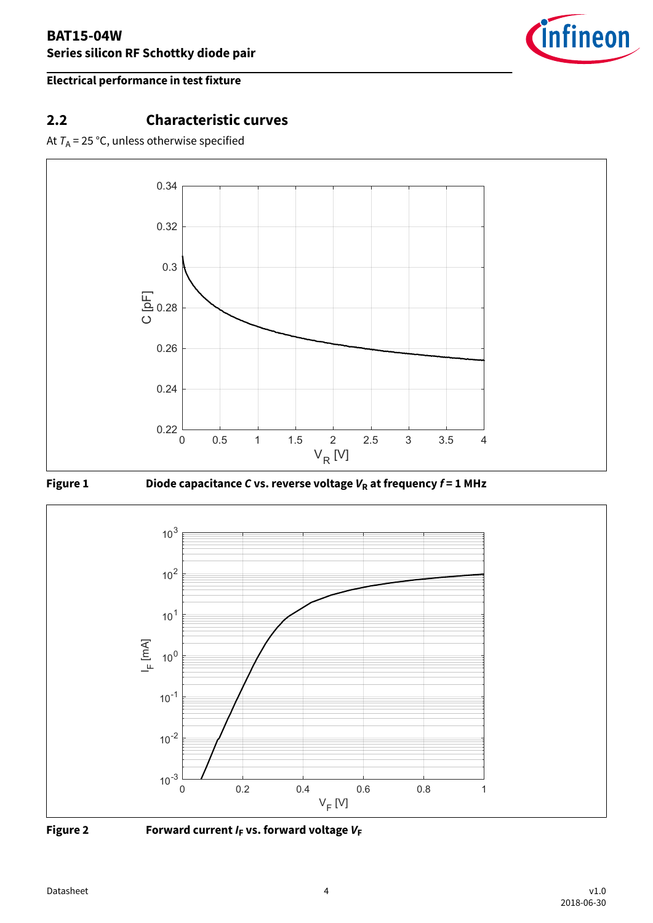

#### <span id="page-3-0"></span>**Electrical performance in test fixture**

## **2.2 Characteristic curves**

At  $T_A$  = 25 °C, unless otherwise specified







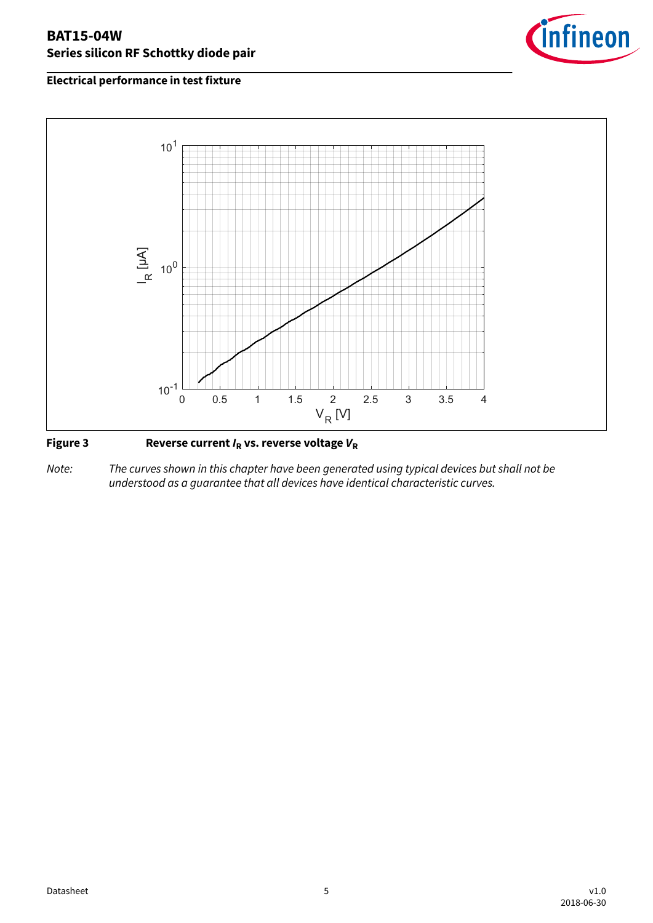#### **BAT15-04W Series silicon RF Schottky diode pair**



#### **Electrical performance in test fixture**



#### **Figure 3 Reverse current IR vs. reverse voltage V<sup>R</sup>**

Note: The curves shown in this chapter have been generated using typical devices but shall not be understood as a guarantee that all devices have identical characteristic curves.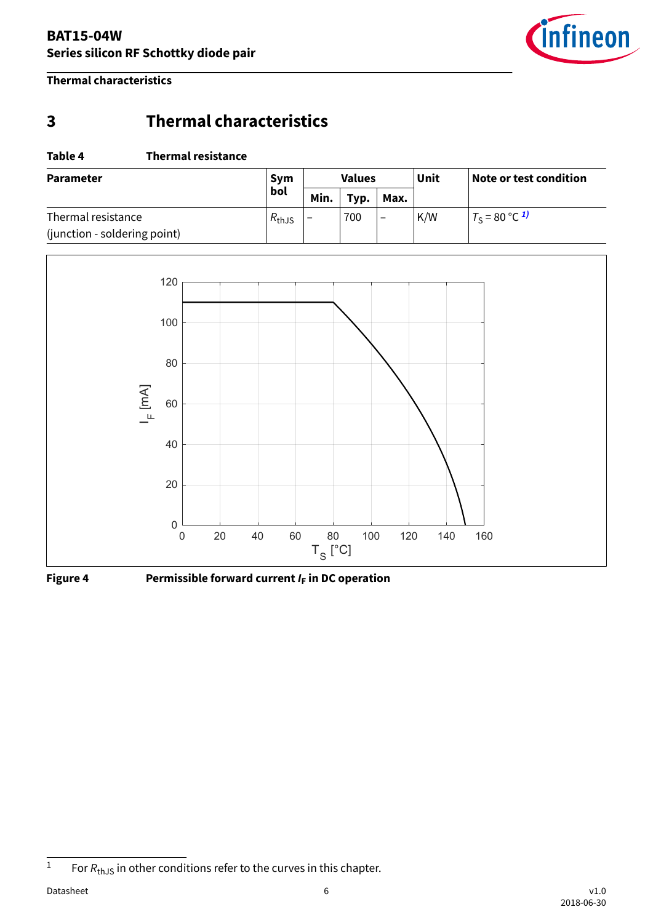

<span id="page-5-0"></span>**Thermal characteristics**

# **3 Thermal characteristics**

#### **Table 4 Thermal resistance**

| <b>Parameter</b>             | <b>Sym</b><br>bol | <b>Values</b>            |      |                 | Unit | Note or test condition      |
|------------------------------|-------------------|--------------------------|------|-----------------|------|-----------------------------|
|                              |                   | Min.                     | Typ. | Max.            |      |                             |
| Thermal resistance           | $R_{\text{thJS}}$ | $\overline{\phantom{0}}$ | 700  | $\qquad \qquad$ | K/W  | $T_S = 80 °C$ <sup>1)</sup> |
| (junction - soldering point) |                   |                          |      |                 |      |                             |



**Figure 4 Permissible forward current I<sup>F</sup> in DC operation**

<sup>&</sup>lt;sup>1</sup> For  $R_{th, IS}$  in other conditions refer to the curves in this chapter.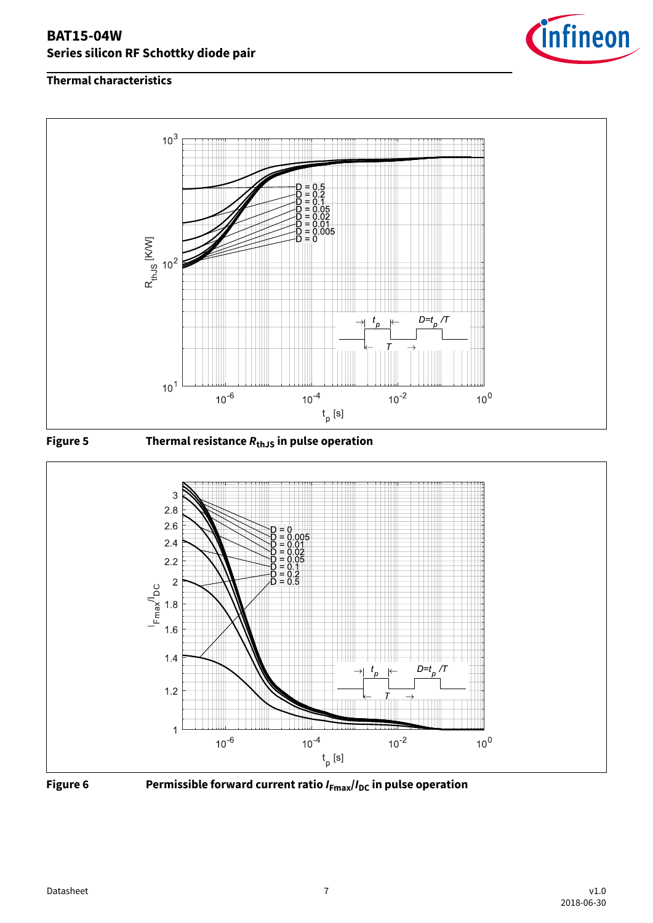#### **BAT15-04W Series silicon RF Schottky diode pair**



#### **Thermal characteristics**









**Figure 6 Permissible forward current ratio IFmax/IDC in pulse operation**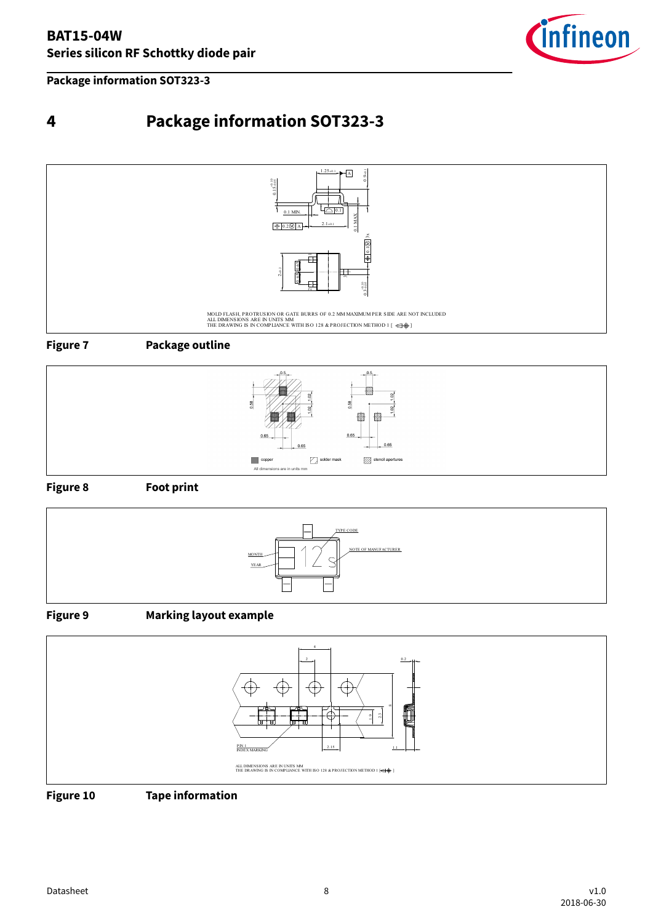

<span id="page-7-0"></span>**Package information SOT323-3**

# **4 Package information SOT323-3**



**Figure 7 Package outline**



**Figure 8 Foot print**



#### **Figure 9 Marking layout example**



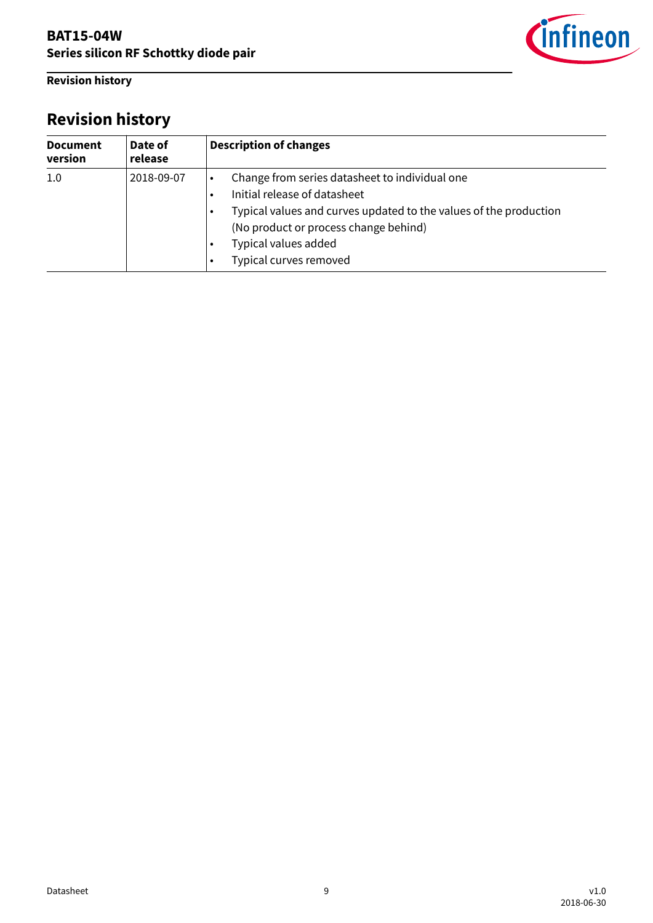<span id="page-8-0"></span>**Revision history**

# infineon

# **Revision history**

| <b>Document</b><br>version | Date of<br>release | <b>Description of changes</b>                                                                                                                                                                                                                  |  |  |  |  |  |
|----------------------------|--------------------|------------------------------------------------------------------------------------------------------------------------------------------------------------------------------------------------------------------------------------------------|--|--|--|--|--|
| 1.0                        | 2018-09-07         | Change from series datasheet to individual one<br>Initial release of datasheet<br>Typical values and curves updated to the values of the production<br>(No product or process change behind)<br>Typical values added<br>Typical curves removed |  |  |  |  |  |